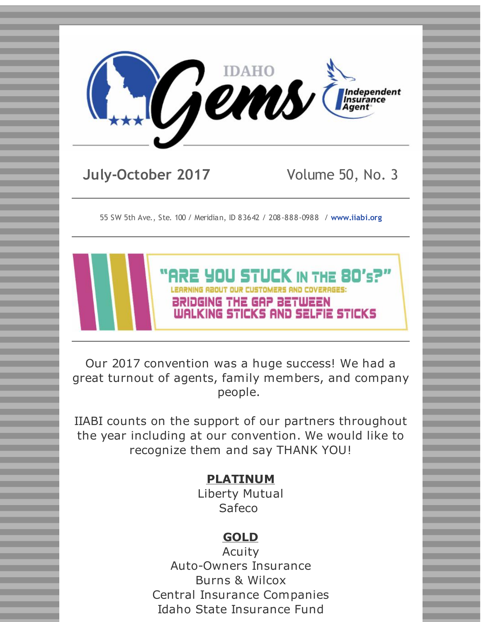

**July-October 2017** Volume 50, No. 3

55 SW 5th Ave., Ste. 100 / Meridian, ID 83642 / 208-888-0988 / **[www.iiabi.org](http://r20.rs6.net/tn.jsp?f=001vMG21goHQTvZoxgiPq0F9WAGcDvtRm3twDGOknxSCnJq3v6g97DYkPf_xbIaio_MbGgVgUwMSrEkmVo6Iwm5TI3p9yMCtXIP6gtk30xVPQz2J_VtCrMqUE3m1nd9fVd1_ySVWh2KNOO3_Q_Hdiod4MVQHJRKilwRw_WuDjMQ8v4=&c=&ch=)**



Our 2017 convention was a huge success! We had a great turnout of agents, family members, and company people.

IIABI counts on the support of our partners throughout the year including at our convention. We would like to recognize them and say THANK YOU!

# **PLATINUM**

Liberty Mutual Safeco

# **GOLD**

Acuity Auto-Owners Insurance Burns & Wilcox Central Insurance Companies Idaho State Insurance Fund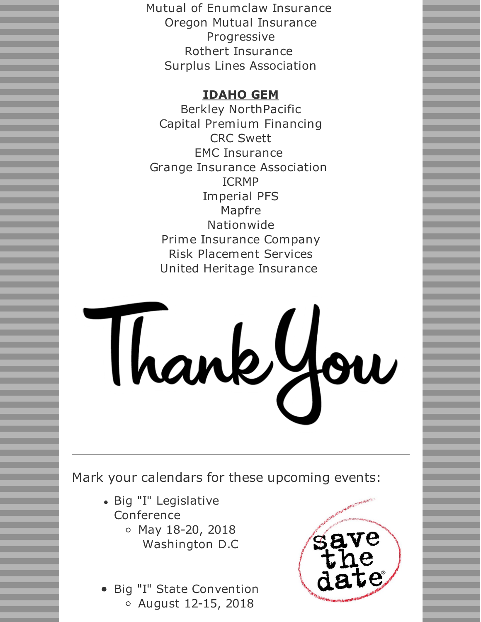Mutual of Enumclaw Insurance Oregon Mutual Insurance Progressive Rothert Insurance Surplus Lines Association

# **IDAHO GEM**

Berkley NorthPacific Capital Premium Financing CRC Swett EMC Insurance Grange Insurance Association ICRMP Imperial PFS Mapfre Nationwide Prime Insurance Company Risk Placement Services United Heritage Insurance

# Thankfow

Mark your calendars for these upcoming events:

- Big "I" Legislative Conference
	- $\circ$  May 18-20, 2018 Washington D.C
- Big "I" State Convention August 12-15, 2018

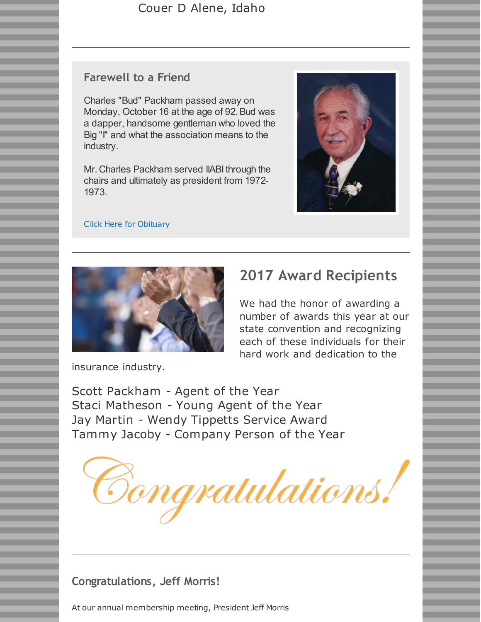## Couer D Alene, Idaho

## **Farewell to a Friend**

Charles "Bud" Packham passed away on Monday, October 16 at the age of 92. Bud was a dapper, handsome gentleman who loved the Big "I" and what the association means to the industry.

Mr. Charles Packham served IIABI through the chairs and ultimately as president from 1972- 1973.



#### Click Here for [Obituary](http://r20.rs6.net/tn.jsp?f=001vMG21goHQTvZoxgiPq0F9WAGcDvtRm3twDGOknxSCnJq3v6g97DYkMDR8Lw-QkW2qu0fAYD6r7Wh1MgF-FtcCrFFIPzEefTMD34ygN6FrHnSHB4tx_fEPFfE_-F3W6HjYOToWtyk89AXrWdQvFpIciKY8r_nSFAMUUNTeeh-W406Z27LVXxX4SoliFEBaRaJOE3YYS5d6-jvFFs1hN4u6L2lzwIrRNr_Rb94mA_Q9JXJ-w8RHIjJu2zaXe6Ea4N-5HzTReyez2SyYkRQ5L1GP20OXPwvc2f_&c=&ch=)



# **2017 Award Recipients**

We had the honor of awarding a number of awards this year at our state convention and recognizing each of these individuals for their hard work and dedication to the

insurance industry.

Scott Packham - Agent of the Year Staci Matheson - Young Agent of the Year Jay Martin - Wendy Tippetts Service Award Tammy Jacoby - Company Person of the Year



**Congratulations, Jeff Morris!**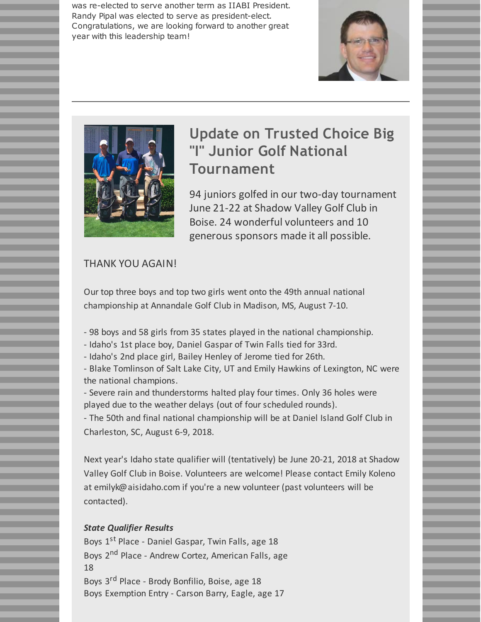was re-elected to serve another term as IIABI President. Randy Pipal was elected to serve as president-elect. Congratulations, we are looking forward to another great year with this leadership team!





# **Update on Trusted Choice Big "I" Junior Golf National Tournament**

94 juniors golfed in our two-day tournament June 21-22 at Shadow Valley Golf Club in Boise. 24 wonderful volunteers and 10 generous sponsors made it all possible.

#### THANK YOU AGAIN!

Our top three boys and top two girls went onto the 49th annual national championship at Annandale Golf Club in Madison, MS, August 7-10.

- 98 boys and 58 girls from 35 states played in the national championship.
- Idaho's 1st place boy, Daniel Gaspar of Twin Falls tied for 33rd.
- Idaho's 2nd place girl, Bailey Henley of Jerome tied for 26th.

- Blake Tomlinson of Salt Lake City, UT and Emily Hawkins of Lexington, NC were the national champions.

- Severe rain and thunderstorms halted play four times. Only 36 holes were played due to the weather delays (out of four scheduled rounds).

- The 50th and final national championship will be at Daniel Island Golf Club in Charleston, SC, August 6-9, 2018.

Next year's Idaho state qualifier will (tentatively) be June 20-21, 2018 at Shadow Valley Golf Club in Boise. Volunteers are welcome! Please contact Emily Koleno at emilyk@aisidaho.com if you're a new volunteer (past volunteers will be contacted).

#### *State Qualifier Results*

Boys 1<sup>st</sup> Place - Daniel Gaspar, Twin Falls, age 18 Boys 2<sup>nd</sup> Place - Andrew Cortez, American Falls, age 18 Boys 3<sup>rd</sup> Place - Brody Bonfilio, Boise, age 18 Boys Exemption Entry - Carson Barry, Eagle, age 17